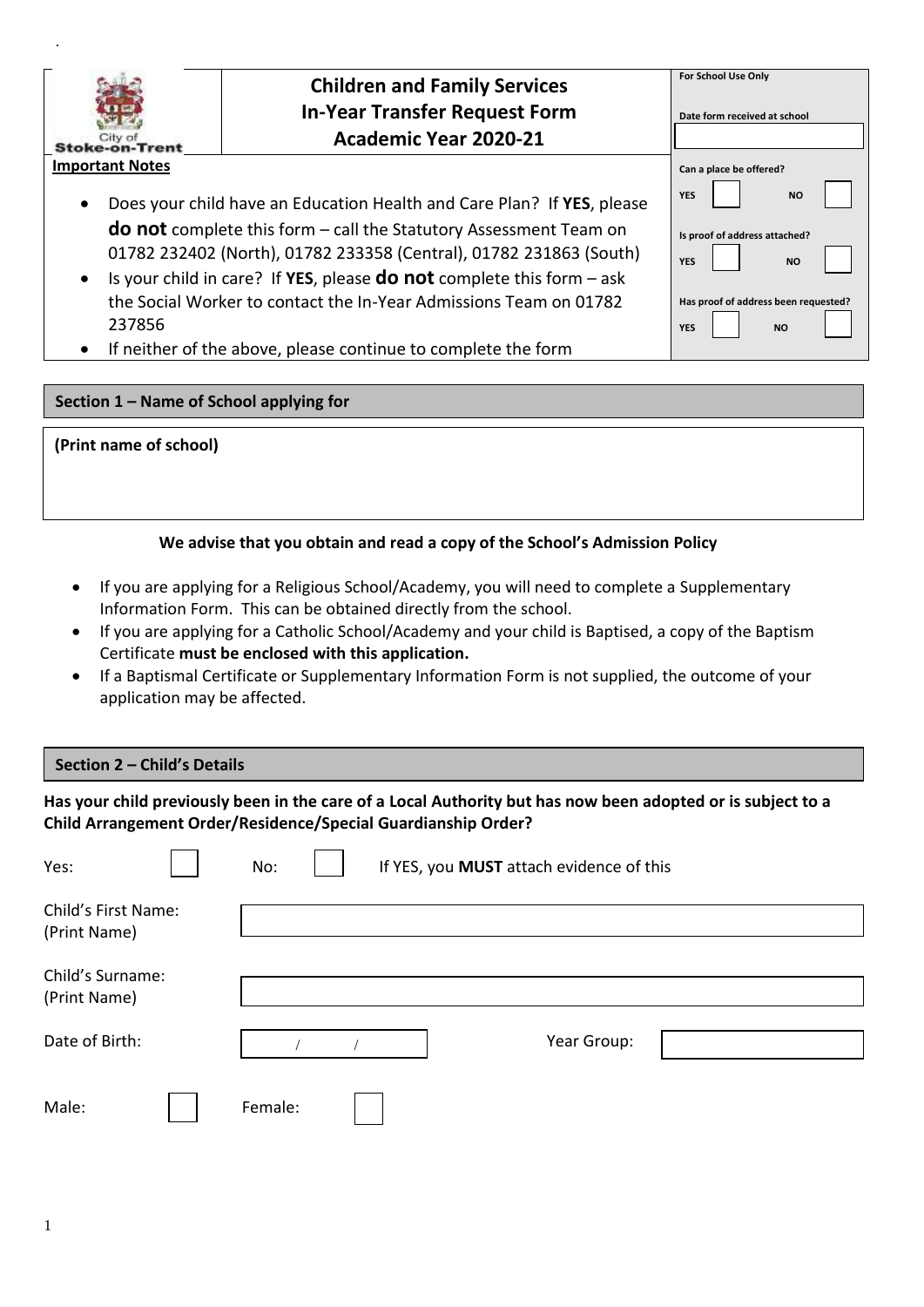| City of<br>Stoke-on-Trent           | <b>Children and Family Services</b><br><b>In-Year Transfer Request Form</b><br><b>Academic Year 2020-21</b>                                                                                                                 | For School Use Only<br>Date form received at school             |
|-------------------------------------|-----------------------------------------------------------------------------------------------------------------------------------------------------------------------------------------------------------------------------|-----------------------------------------------------------------|
| <b>Important Notes</b><br>$\bullet$ | Does your child have an Education Health and Care Plan? If YES, please                                                                                                                                                      | Can a place be offered?<br><b>YES</b><br><b>NO</b>              |
|                                     | <b>do not</b> complete this form $-$ call the Statutory Assessment Team on<br>01782 232402 (North), 01782 233358 (Central), 01782 231863 (South)<br>Is your child in care? If YES, please do not complete this form $-$ ask | Is proof of address attached?<br><b>YES</b><br><b>NO</b>        |
| 237856                              | the Social Worker to contact the In-Year Admissions Team on 01782<br>If neither of the above, please continue to complete the form                                                                                          | Has proof of address been requested?<br><b>YES</b><br><b>NO</b> |

## **Section 1 – Name of School applying for**

#### **(Print name of school)**

.

## **We advise that you obtain and read a copy of the School's Admission Policy**

- If you are applying for a Religious School/Academy, you will need to complete a Supplementary Information Form. This can be obtained directly from the school.
- If you are applying for a Catholic School/Academy and your child is Baptised, a copy of the Baptism Certificate **must be enclosed with this application.**
- If a Baptismal Certificate or Supplementary Information Form is not supplied, the outcome of your application may be affected.

## **Section 2 – Child's Details**

**Has your child previously been in the care of a Local Authority but has now been adopted or is subject to a Child Arrangement Order/Residence/Special Guardianship Order?**

| Yes:                                | No:     |  | If YES, you MUST attach evidence of this |  |  |
|-------------------------------------|---------|--|------------------------------------------|--|--|
| Child's First Name:<br>(Print Name) |         |  |                                          |  |  |
| Child's Surname:<br>(Print Name)    |         |  |                                          |  |  |
| Date of Birth:                      |         |  | Year Group:                              |  |  |
| Male:                               | Female: |  |                                          |  |  |

ſ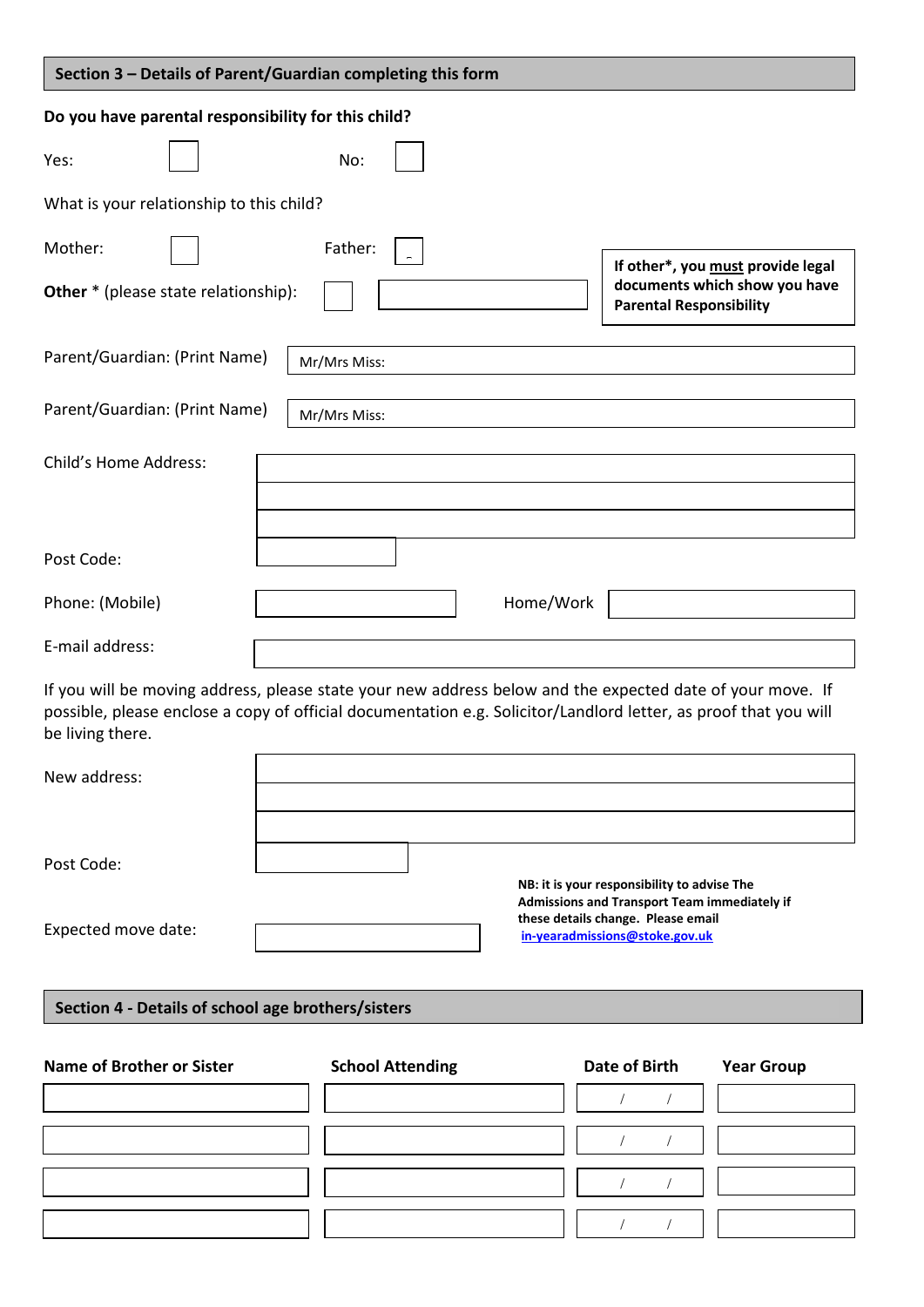| Section 3 - Details of Parent/Guardian completing this form                                                                                                                                                                                       |                         |                                                                                                                                   |                                   |
|---------------------------------------------------------------------------------------------------------------------------------------------------------------------------------------------------------------------------------------------------|-------------------------|-----------------------------------------------------------------------------------------------------------------------------------|-----------------------------------|
| Do you have parental responsibility for this child?                                                                                                                                                                                               |                         |                                                                                                                                   |                                   |
| Yes:                                                                                                                                                                                                                                              | No:                     |                                                                                                                                   |                                   |
| What is your relationship to this child?                                                                                                                                                                                                          |                         |                                                                                                                                   |                                   |
| Mother:                                                                                                                                                                                                                                           | Father:                 |                                                                                                                                   | If other*, you must provide legal |
| <b>Other</b> * (please state relationship):                                                                                                                                                                                                       |                         | <b>Parental Responsibility</b>                                                                                                    | documents which show you have     |
| Parent/Guardian: (Print Name)                                                                                                                                                                                                                     | Mr/Mrs Miss:            |                                                                                                                                   |                                   |
| Parent/Guardian: (Print Name)                                                                                                                                                                                                                     | Mr/Mrs Miss:            |                                                                                                                                   |                                   |
| Child's Home Address:                                                                                                                                                                                                                             |                         |                                                                                                                                   |                                   |
| Post Code:                                                                                                                                                                                                                                        |                         |                                                                                                                                   |                                   |
| Phone: (Mobile)                                                                                                                                                                                                                                   | Home/Work               |                                                                                                                                   |                                   |
| E-mail address:                                                                                                                                                                                                                                   |                         |                                                                                                                                   |                                   |
| If you will be moving address, please state your new address below and the expected date of your move. If<br>possible, please enclose a copy of official documentation e.g. Solicitor/Landlord letter, as proof that you will<br>be living there. |                         |                                                                                                                                   |                                   |
| New address:                                                                                                                                                                                                                                      |                         |                                                                                                                                   |                                   |
|                                                                                                                                                                                                                                                   |                         |                                                                                                                                   |                                   |
| Post Code:                                                                                                                                                                                                                                        |                         |                                                                                                                                   |                                   |
|                                                                                                                                                                                                                                                   |                         | NB: it is your responsibility to advise The<br>Admissions and Transport Team immediately if<br>these details change. Please email |                                   |
| Expected move date:                                                                                                                                                                                                                               |                         | in-yearadmissions@stoke.gov.uk                                                                                                    |                                   |
| Section 4 - Details of school age brothers/sisters                                                                                                                                                                                                |                         |                                                                                                                                   |                                   |
|                                                                                                                                                                                                                                                   |                         |                                                                                                                                   |                                   |
| <b>Name of Brother or Sister</b>                                                                                                                                                                                                                  | <b>School Attending</b> | <b>Date of Birth</b>                                                                                                              | <b>Year Group</b>                 |
|                                                                                                                                                                                                                                                   |                         | $\sqrt{2}$                                                                                                                        |                                   |
|                                                                                                                                                                                                                                                   |                         |                                                                                                                                   |                                   |
|                                                                                                                                                                                                                                                   |                         |                                                                                                                                   |                                   |
|                                                                                                                                                                                                                                                   |                         |                                                                                                                                   |                                   |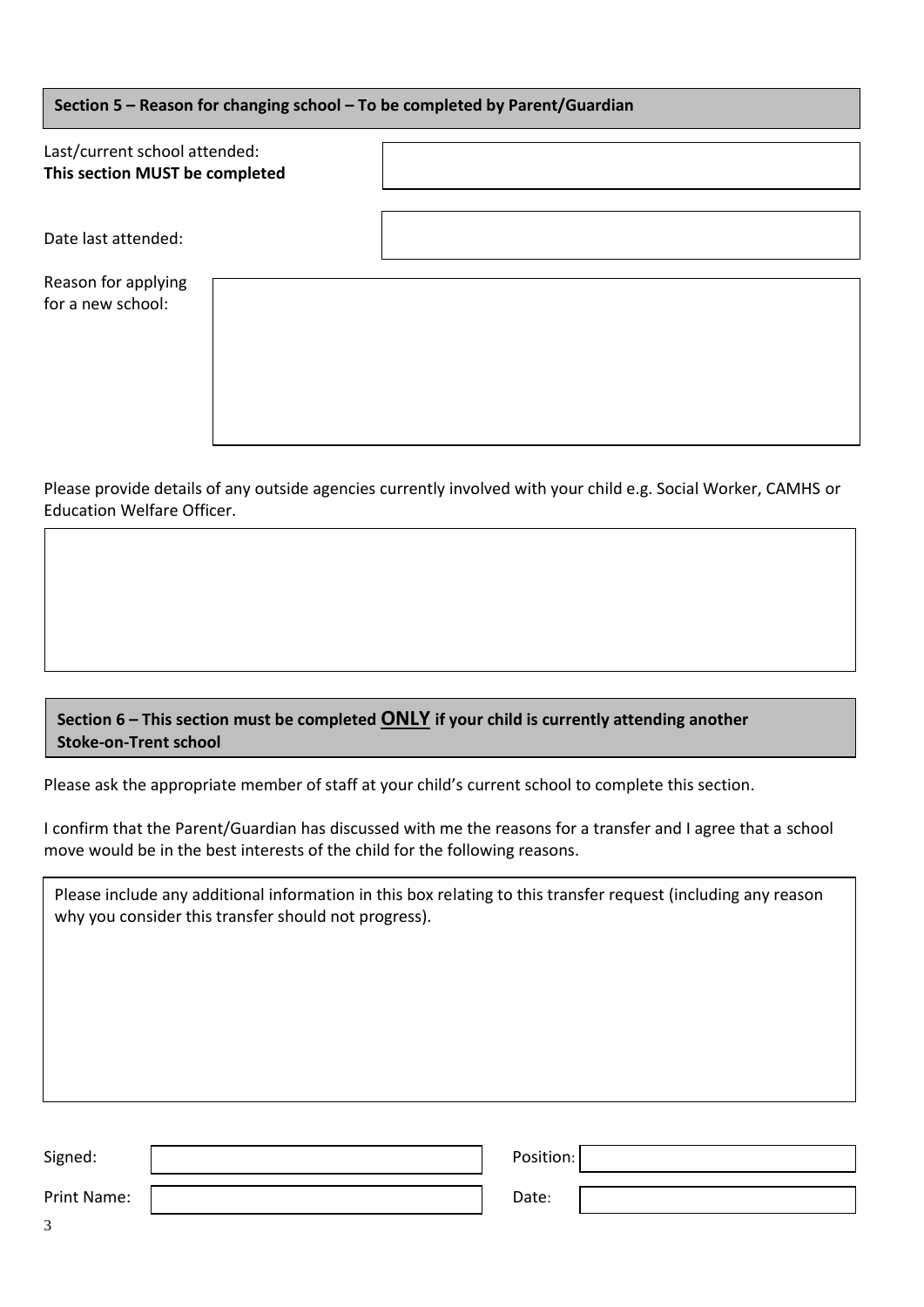| Section 5 - Reason for changing school - To be completed by Parent/Guardian |  |  |  |
|-----------------------------------------------------------------------------|--|--|--|
| Last/current school attended:<br>This section MUST be completed             |  |  |  |
| Date last attended:                                                         |  |  |  |
| Reason for applying<br>for a new school:                                    |  |  |  |

Please provide details of any outside agencies currently involved with your child e.g. Social Worker, CAMHS or Education Welfare Officer.

# **Section 6 – This section must be completed ONLY if your child is currently attending another Stoke-on-Trent school**

Please ask the appropriate member of staff at your child's current school to complete this section.

I confirm that the Parent/Guardian has discussed with me the reasons for a transfer and I agree that a school move would be in the best interests of the child for the following reasons.

Please include any additional information in this box relating to this transfer request (including any reason why you consider this transfer should not progress).

| Signed:     | Position: |  |
|-------------|-----------|--|
| Print Name: | Date:     |  |